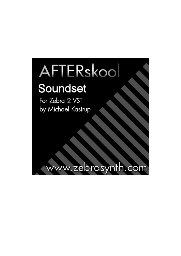# AFTERskool

# Soundset

For Zebra 2 VST by Michael Kastrup

ww.zebrasynth.com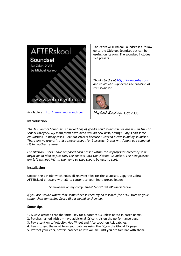

Available at http://www.zebrasynth.com

The Zebra AFTERskool Soundset is a follow up to the Oldskool Soundset but can be usefull on its own. The soundset includes 128 presets.

*Thanks to Urs at http://www.u-he.com and to all who supported the creation of this soundset.* 



*Michael Kastrup* Oct <sup>2008</sup>

# **Introduction**

*The AFTERskool Soundset is a mixed bag of goodies and soundwise we are still in the Old School category. My main focus have been around new Bass, Strings, Poly's and some emulations. In many cases I left out effects because I wanted a raw sounding soundset. There are no drums in this release except for 3 presets. Drums will follow as a sampled kit in another release.* 

*For Oldskool users I have prepared each preset within the appropriate directory so it might be an idea to just copy the content into the Oldskool Soundset. The new presets are left without MK\_ in the name so they should be easy to spot.* 

# **Installation**

Unpack the ZIP file which holds all relevant files for the soundset. Copy the Zebra AFTERskool directory with all its content to your Zebra preset folder:

Somewhere on my comp..\u-he\Zebra2.data\Presets\Zebra2

*If you are unsure where that somewhere is then try do a search for \*.H2P files on your comp, then something Zebra like is bound to show up.*

# **Some tips**

- 1. Always assume that the initial key for a patch is C3 unless noted in patch name.
- 2. Patches named with a + have additional XY controls on the performance page.
- 3. Pay attention to Velocity, Mod Wheel and Aftertouch on ALL patches.
- 4. Learn to get the most from your patches using the EQ on the Global FX page.
- 5. Protect your ears, browse patches at low volume until you are familiar with them.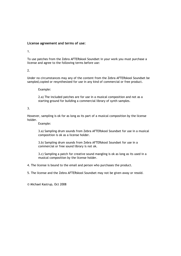# **License agreement and terms of use:**

1.

To use patches from the Zebra AFTERskool Soundset in your work you must purchase a license and agree to the following terms before use:

2.

Under no circumstances may any of the content from the Zebra AFTERskool Soundset be sampled,copied or resynthesized for use in any kind of commercial or free product.

Example:

 2.a) The included patches are for use in a musical composition and not as a starting ground for building a commercial library of synth samples.

3.

However, sampling is ok for as long as its part of a musical composition by the license holder.

Example:

 3.a) Sampling drum sounds from Zebra AFTERskool Soundset for use in a musical composition is ok as a license holder.

 3.b) Sampling drum sounds from Zebra AFTERskool Soundset for use in a commercial or free sound library is not ok.

 3.c) Sampling a patch for creative sound mangling is ok as long as its used in a musical composition by the license holder.

4. The license is bound to the email and person who purchases the product.

5. The license and the Zebra AFTERskool Soundset may not be given away or resold.

© Michael Kastrup, Oct 2008